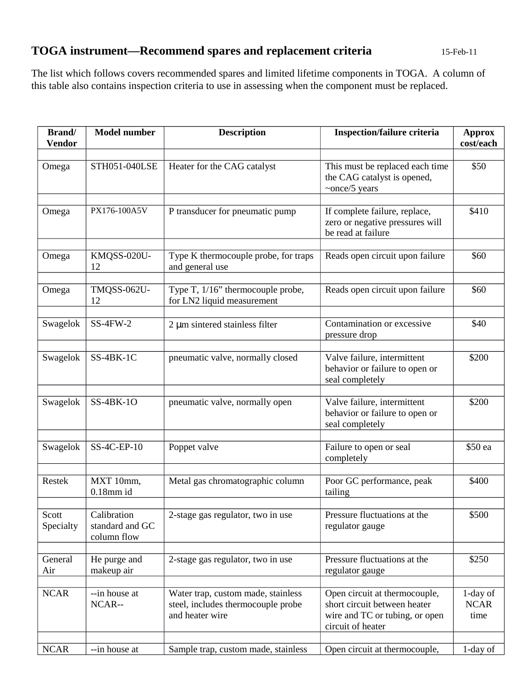## **TOGA instrument—Recommend spares and replacement criteria** 15-Feb-11

The list which follows covers recommended spares and limited lifetime components in TOGA. A column of this table also contains inspection criteria to use in assessing when the component must be replaced.

| <b>Brand</b> /<br><b>Vendor</b> | <b>Model number</b>                           | <b>Description</b>                                                                          | <b>Inspection/failure criteria</b>                                                                                   | <b>Approx</b><br>cost/each      |
|---------------------------------|-----------------------------------------------|---------------------------------------------------------------------------------------------|----------------------------------------------------------------------------------------------------------------------|---------------------------------|
| Omega                           | STH051-040LSE                                 | Heater for the CAG catalyst                                                                 | This must be replaced each time<br>the CAG catalyst is opened,<br>$\sim$ once/5 years                                | \$50                            |
| Omega                           | PX176-100A5V                                  | P transducer for pneumatic pump                                                             | If complete failure, replace,<br>zero or negative pressures will<br>be read at failure                               | \$410                           |
| Omega                           | KMQSS-020U-<br>12                             | Type K thermocouple probe, for traps<br>and general use                                     | Reads open circuit upon failure                                                                                      | \$60                            |
| Omega                           | $TMQSS-062U-$<br>12                           | Type T, 1/16" thermocouple probe,<br>for LN2 liquid measurement                             | Reads open circuit upon failure                                                                                      | \$60                            |
| Swagelok                        | <b>SS-4FW-2</b>                               | 2 µm sintered stainless filter                                                              | Contamination or excessive<br>pressure drop                                                                          | \$40                            |
| Swagelok                        | SS-4BK-1C                                     | pneumatic valve, normally closed                                                            | Valve failure, intermittent<br>behavior or failure to open or<br>seal completely                                     | \$200                           |
| Swagelok                        | <b>SS-4BK-1O</b>                              | pneumatic valve, normally open                                                              | Valve failure, intermittent<br>behavior or failure to open or<br>seal completely                                     | \$200                           |
| Swagelok                        | SS-4C-EP-10                                   | Poppet valve                                                                                | Failure to open or seal<br>completely                                                                                | \$50 ea                         |
| <b>Restek</b>                   | MXT 10mm,<br>$0.18$ mm id                     | Metal gas chromatographic column                                                            | Poor GC performance, peak<br>tailing                                                                                 | \$400                           |
| Scott<br>Specialty              | Calibration<br>standard and GC<br>column flow | 2-stage gas regulator, two in use                                                           | Pressure fluctuations at the<br>regulator gauge                                                                      | \$500                           |
| General<br>Air                  | He purge and<br>makeup air                    | 2-stage gas regulator, two in use                                                           | Pressure fluctuations at the<br>regulator gauge                                                                      | \$250                           |
| <b>NCAR</b>                     | --in house at<br>NCAR--                       | Water trap, custom made, stainless<br>steel, includes thermocouple probe<br>and heater wire | Open circuit at thermocouple,<br>short circuit between heater<br>wire and TC or tubing, or open<br>circuit of heater | 1-day of<br><b>NCAR</b><br>time |
| <b>NCAR</b>                     | --in house at                                 | Sample trap, custom made, stainless                                                         | Open circuit at thermocouple,                                                                                        | 1-day of                        |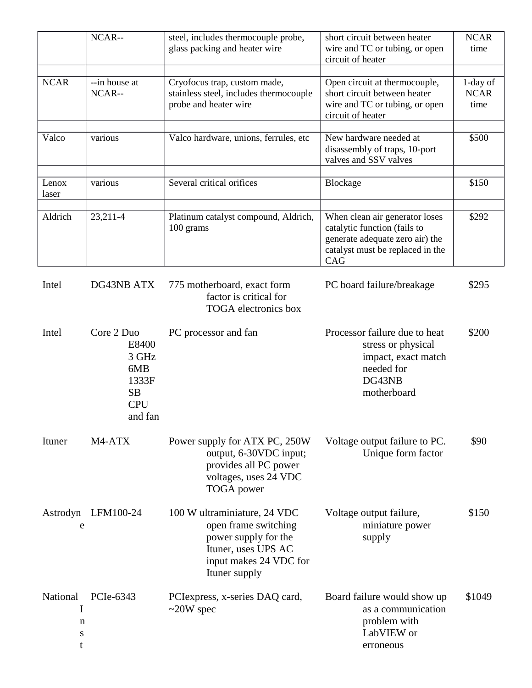|                              | NCAR--                                                                             | steel, includes thermocouple probe,<br>glass packing and heater wire                                                                           | short circuit between heater<br>wire and TC or tubing, or open<br>circuit of heater                                                          | <b>NCAR</b><br>time             |
|------------------------------|------------------------------------------------------------------------------------|------------------------------------------------------------------------------------------------------------------------------------------------|----------------------------------------------------------------------------------------------------------------------------------------------|---------------------------------|
| <b>NCAR</b>                  | --in house at<br>NCAR--                                                            | Cryofocus trap, custom made,<br>stainless steel, includes thermocouple<br>probe and heater wire                                                | Open circuit at thermocouple,<br>short circuit between heater<br>wire and TC or tubing, or open<br>circuit of heater                         | 1-day of<br><b>NCAR</b><br>time |
| Valco                        | various                                                                            | Valco hardware, unions, ferrules, etc                                                                                                          | New hardware needed at<br>disassembly of traps, 10-port<br>valves and SSV valves                                                             | \$500                           |
| Lenox<br>laser               | various                                                                            | Several critical orifices                                                                                                                      | <b>Blockage</b>                                                                                                                              | \$150                           |
| Aldrich                      | 23,211-4                                                                           | Platinum catalyst compound, Aldrich,<br>100 grams                                                                                              | When clean air generator loses<br>catalytic function (fails to<br>generate adequate zero air) the<br>catalyst must be replaced in the<br>CAG | \$292                           |
| Intel                        | DG43NB ATX                                                                         | 775 motherboard, exact form<br>factor is critical for<br><b>TOGA</b> electronics box                                                           | PC board failure/breakage                                                                                                                    | \$295                           |
| Intel                        | Core 2 Duo<br>E8400<br>3 GHz<br>6MB<br>1333F<br><b>SB</b><br><b>CPU</b><br>and fan | PC processor and fan                                                                                                                           | Processor failure due to heat<br>stress or physical<br>impact, exact match<br>needed for<br>DG43NB<br>motherboard                            | \$200                           |
| Ituner                       | M4-ATX                                                                             | Power supply for ATX PC, 250W<br>output, 6-30VDC input;<br>provides all PC power<br>voltages, uses 24 VDC<br><b>TOGA</b> power                 | Voltage output failure to PC.<br>Unique form factor                                                                                          | \$90                            |
| Astrodyn<br>e                | LFM100-24                                                                          | 100 W ultraminiature, 24 VDC<br>open frame switching<br>power supply for the<br>Ituner, uses UPS AC<br>input makes 24 VDC for<br>Ituner supply | Voltage output failure,<br>miniature power<br>supply                                                                                         | \$150                           |
| National<br>I<br>n<br>S<br>t | PCIe-6343                                                                          | PCI express, x-series DAQ card,<br>$\sim$ 20W spec                                                                                             | Board failure would show up<br>as a communication<br>problem with<br>LabVIEW or<br>erroneous                                                 | \$1049                          |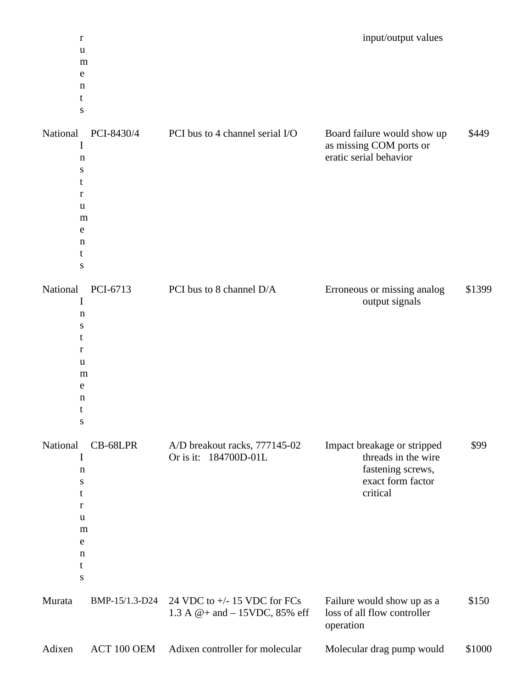| $\mathbf r$<br>u<br>m<br>е<br>n<br>t<br>S                                                                                        |                                                                                       |                                                                                  | input/output values                                                   |
|----------------------------------------------------------------------------------------------------------------------------------|---------------------------------------------------------------------------------------|----------------------------------------------------------------------------------|-----------------------------------------------------------------------|
| National<br>PCI-8430/4<br>I<br>n<br>S<br>t<br>r<br>u<br>m<br>е<br>n<br>t<br>S                                                    | PCI bus to 4 channel serial I/O                                                       | Board failure would show up<br>as missing COM ports or<br>eratic serial behavior | \$449                                                                 |
| National<br>PCI-6713<br>I<br>$\mathbf n$<br>S<br>t<br>r<br>u<br>m<br>e<br>n<br>t<br>s                                            | PCI bus to 8 channel D/A                                                              | Erroneous or missing analog                                                      | \$1399<br>output signals                                              |
| National<br>CB-68LPR<br>I<br>$\mathbf n$<br>S<br>t<br>$\mathbf r$<br>u<br>m<br>e<br>$\mathbf n$<br>$\mathsf{t}$<br>${\mathsf S}$ | A/D breakout racks, 777145-02<br>Or is it: 184700D-01L                                | Impact breakage or stripped<br>critical                                          | \$99<br>threads in the wire<br>fastening screws,<br>exact form factor |
| Murata                                                                                                                           | BMP-15/1.3-D24<br>24 VDC to $+/-$ 15 VDC for FCs<br>1.3 A $@+$ and $-$ 15VDC, 85% eff | Failure would show up as a<br>loss of all flow controller<br>operation           | \$150                                                                 |
| Adixen                                                                                                                           | Adixen controller for molecular<br>ACT 100 OEM                                        | Molecular drag pump would                                                        | \$1000                                                                |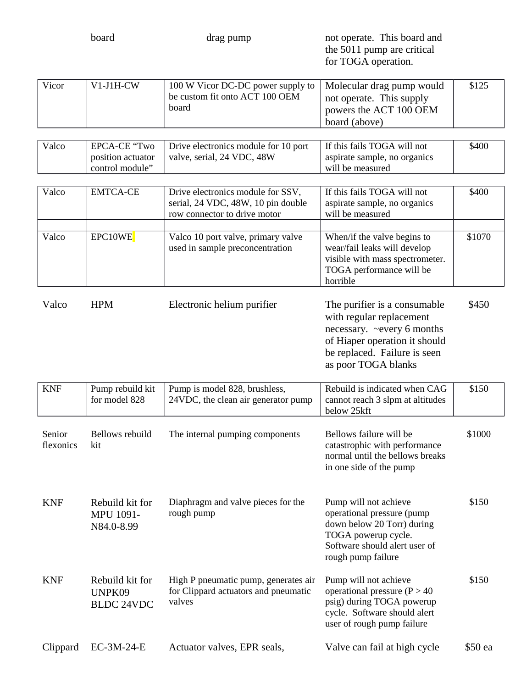board **drag pump hoard** and **contained the contained and contained and contained and** the 5011 pump are critical for TOGA operation.

| Vicor | $V1-J1H-CW$ | 100 W Vicor DC-DC power supply to $\mid$ Molecular drag pump would<br>be custom fit onto ACT 100 OEM | not operate. This supply | \$125 |
|-------|-------------|------------------------------------------------------------------------------------------------------|--------------------------|-------|
|       |             | board                                                                                                | powers the ACT 100 OEM   |       |
|       |             |                                                                                                      | board (above)            |       |

| Valco | EPCA-CE "Two      | Drive electronics module for 10 port | If this fails TOGA will not  | \$400 |
|-------|-------------------|--------------------------------------|------------------------------|-------|
|       | position actuator | $\perp$ valve, serial, 24 VDC, 48W   | aspirate sample, no organics |       |
|       | control module"   |                                      | will be measured             |       |

| Valco | EMTCA-CE | Drive electronics module for SSV,<br>serial, 24 VDC, 48W, 10 pin double<br>row connector to drive motor | If this fails TOGA will not<br>aspirate sample, no organics<br>will be measured | \$400  |
|-------|----------|---------------------------------------------------------------------------------------------------------|---------------------------------------------------------------------------------|--------|
|       |          |                                                                                                         |                                                                                 |        |
| Valco | EPC10WE  | Valco 10 port valve, primary valve<br>used in sample preconcentration                                   | When/if the valve begins to<br>wear/fail leaks will develop                     | \$1070 |
|       |          |                                                                                                         | visible with mass spectrometer.                                                 |        |
|       |          |                                                                                                         | TOGA performance will be                                                        |        |
|       |          |                                                                                                         | horrible                                                                        |        |

| Valco | <b>HPM</b> | Electronic helium purifier | The purifier is a consumable<br>with regular replacement<br>necessary. $\sim$ every 6 months<br>of Hiaper operation it should<br>be replaced. Failure is seen | \$450 |
|-------|------------|----------------------------|---------------------------------------------------------------------------------------------------------------------------------------------------------------|-------|
|       |            |                            | as poor TOGA blanks                                                                                                                                           |       |

| <b>KNF</b>          | Pump rebuild kit<br>for model 828                 | Pump is model 828, brushless,<br>24VDC, the clean air generator pump                   | Rebuild is indicated when CAG<br>cannot reach 3 slpm at altitudes<br>below 25kft                                                                                | \$150  |
|---------------------|---------------------------------------------------|----------------------------------------------------------------------------------------|-----------------------------------------------------------------------------------------------------------------------------------------------------------------|--------|
| Senior<br>flexonics | Bellows rebuild<br>kit                            | The internal pumping components                                                        | Bellows failure will be<br>catastrophic with performance<br>normal until the bellows breaks<br>in one side of the pump                                          | \$1000 |
| <b>KNF</b>          | Rebuild kit for<br><b>MPU 1091-</b><br>N84.0-8.99 | Diaphragm and valve pieces for the<br>rough pump                                       | Pump will not achieve<br>operational pressure (pump<br>down below 20 Torr) during<br>TOGA powerup cycle.<br>Software should alert user of<br>rough pump failure | \$150  |
| <b>KNF</b>          | Rebuild kit for<br>UNPK09<br><b>BLDC 24VDC</b>    | High P pneumatic pump, generates air<br>for Clippard actuators and pneumatic<br>valves | Pump will not achieve<br>operational pressure ( $P > 40$<br>psig) during TOGA powerup<br>cycle. Software should alert<br>user of rough pump failure             | \$150  |

| Clippard EC-3M-24-E | Actuator valves, EPR seals, | Valve can fail at high cycle | \$50 ea |
|---------------------|-----------------------------|------------------------------|---------|
|                     |                             |                              |         |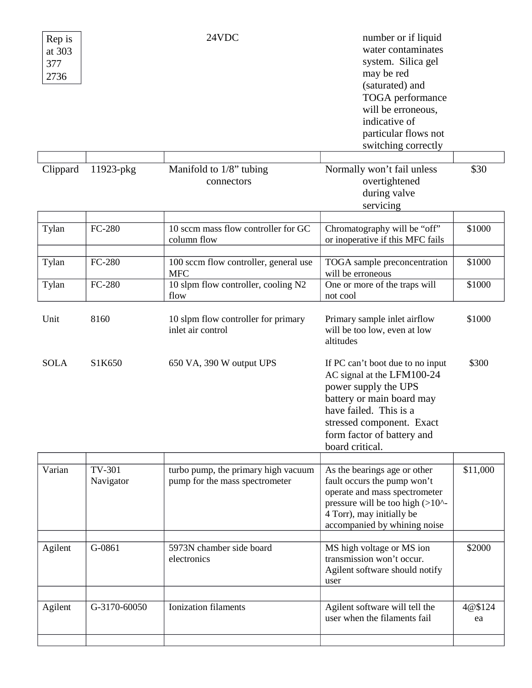| Rep is<br>at 303<br>377<br>2736 |                     | 24VDC                                                                 | number or if liquid<br>water contaminates<br>system. Silica gel<br>may be red<br>(saturated) and<br>TOGA performance<br>will be erroneous,<br>indicative of<br>particular flows not<br>switching correctly                  |               |
|---------------------------------|---------------------|-----------------------------------------------------------------------|-----------------------------------------------------------------------------------------------------------------------------------------------------------------------------------------------------------------------------|---------------|
| Clippard                        | 11923-pkg           | Manifold to 1/8" tubing<br>connectors                                 | Normally won't fail unless<br>overtightened<br>during valve<br>servicing                                                                                                                                                    | \$30          |
| Tylan                           | <b>FC-280</b>       | 10 sccm mass flow controller for GC<br>column flow                    | Chromatography will be "off"<br>or inoperative if this MFC fails                                                                                                                                                            | \$1000        |
| Tylan                           | <b>FC-280</b>       | 100 sccm flow controller, general use<br><b>MFC</b>                   | TOGA sample preconcentration<br>will be erroneous                                                                                                                                                                           | \$1000        |
| Tylan                           | <b>FC-280</b>       | 10 slpm flow controller, cooling N2<br>flow                           | One or more of the traps will<br>not cool                                                                                                                                                                                   | \$1000        |
| Unit                            | 8160                | 10 slpm flow controller for primary<br>inlet air control              | Primary sample inlet airflow<br>will be too low, even at low<br>altitudes                                                                                                                                                   | \$1000        |
| <b>SOLA</b>                     | S1K650              | 650 VA, 390 W output UPS                                              | If PC can't boot due to no input<br>AC signal at the LFM100-24<br>power supply the UPS<br>battery or main board may<br>have failed. This is a<br>stressed component. Exact<br>form factor of battery and<br>board critical. | \$300         |
| Varian                          | TV-301<br>Navigator | turbo pump, the primary high vacuum<br>pump for the mass spectrometer | As the bearings age or other<br>fault occurs the pump won't<br>operate and mass spectrometer<br>pressure will be too high (>10^-<br>4 Torr), may initially be<br>accompanied by whining noise                               | \$11,000      |
| Agilent                         | G-0861              | 5973N chamber side board<br>electronics                               | MS high voltage or MS ion<br>transmission won't occur.<br>Agilent software should notify<br>user                                                                                                                            | \$2000        |
| Agilent                         | G-3170-60050        | <b>Ionization filaments</b>                                           | Agilent software will tell the<br>user when the filaments fail                                                                                                                                                              | 4@\$124<br>ea |